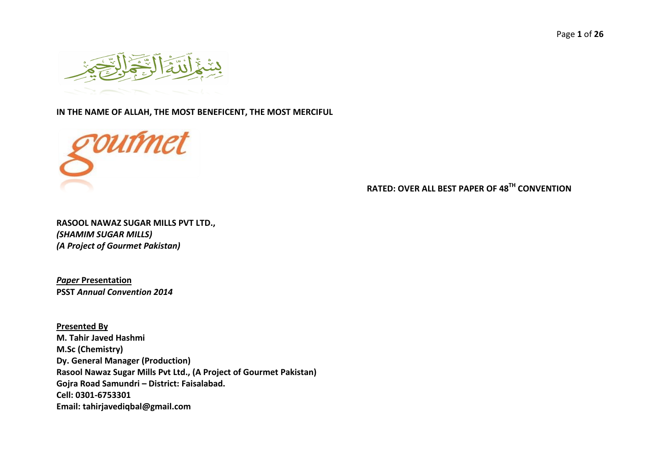Page **1** of **26**



#### **IN THE NAME OF ALLAH, THE MOST BENEFICENT, THE MOST MERCIFUL**



**RATED: OVER ALL BEST PAPER OF 48TH CONVENTION**

**RASOOL NAWAZ SUGAR MILLS PVT LTD.,**  *(SHAMIM SUGAR MILLS) (A Project of Gourmet Pakistan)* 

*Paper* **Presentation PSST** *Annual Convention 2014*

**Presented By M. Tahir Javed Hashmi M.Sc (Chemistry) Dy. General Manager (Production) Rasool Nawaz Sugar Mills Pvt Ltd., (A Project of Gourmet Pakistan) Gojra Road Samundri – District: Faisalabad. Cell: 0301-6753301 Email: tahirjavediqbal@gmail.com**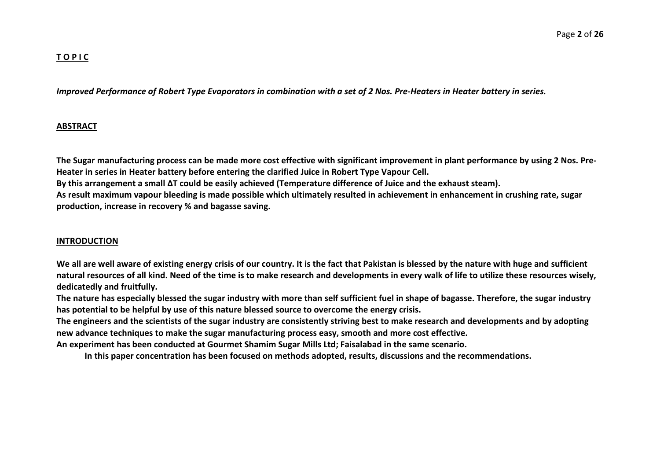## **T O P I C**

*Improved Performance of Robert Type Evaporators in combination with a set of 2 Nos. Pre-Heaters in Heater battery in series.*

#### **ABSTRACT**

**The Sugar manufacturing process can be made more cost effective with significant improvement in plant performance by using 2 Nos. Pre-Heater in series in Heater battery before entering the clarified Juice in Robert Type Vapour Cell. By this arrangement a small ∆T could be easily achieved (Temperature difference of Juice and the exhaust steam). As result maximum vapour bleeding is made possible which ultimately resulted in achievement in enhancement in crushing rate, sugar production, increase in recovery % and bagasse saving.** 

#### **INTRODUCTION**

**We all are well aware of existing energy crisis of our country. It is the fact that Pakistan is blessed by the nature with huge and sufficient natural resources of all kind. Need of the time is to make research and developments in every walk of life to utilize these resources wisely, dedicatedly and fruitfully.**

**The nature has especially blessed the sugar industry with more than self sufficient fuel in shape of bagasse. Therefore, the sugar industry has potential to be helpful by use of this nature blessed source to overcome the energy crisis.** 

**The engineers and the scientists of the sugar industry are consistently striving best to make research and developments and by adopting new advance techniques to make the sugar manufacturing process easy, smooth and more cost effective.**

**An experiment has been conducted at Gourmet Shamim Sugar Mills Ltd; Faisalabad in the same scenario.** 

**In this paper concentration has been focused on methods adopted, results, discussions and the recommendations.**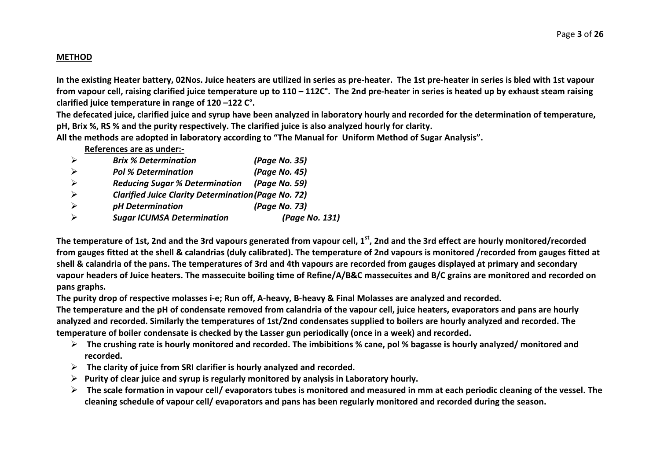#### **METHOD**

**In the existing Heater battery, 02Nos. Juice heaters are utilized in series as pre-heater. The 1st pre-heater in series is bled with 1st vapour from vapour cell, raising clarified juice temperature up to 110 – 112C°. The 2nd pre-heater in series is heated up by exhaust steam raising clarified juice temperature in range of 120 –122 C°.** 

**The defecated juice, clarified juice and syrup have been analyzed in laboratory hourly and recorded for the determination of temperature, pH, Brix %, RS % and the purity respectively. The clarified juice is also analyzed hourly for clarity.**

**All the methods are adopted in laboratory according to "The Manual for Uniform Method of Sugar Analysis".** 

|   | <b>Brix % Determination</b>                                | (Page No. 35)  |
|---|------------------------------------------------------------|----------------|
|   | <b>Pol % Determination</b>                                 | (Page No. 45)  |
|   | <b>Reducing Sugar % Determination</b>                      | (Page No. 59)  |
| ↘ | <b>Clarified Juice Clarity Determination (Page No. 72)</b> |                |
|   | pH Determination                                           | (Page No. 73)  |
|   | <b>Sugar ICUMSA Determination</b>                          | (Page No. 131) |

The temperature of 1st, 2nd and the 3rd vapours generated from vapour cell, 1<sup>st</sup>, 2nd and the 3rd effect are hourly monitored/recorded **from gauges fitted at the shell & calandrias (duly calibrated). The temperature of 2nd vapours is monitored /recorded from gauges fitted at shell & calandria of the pans. The temperatures of 3rd and 4th vapours are recorded from gauges displayed at primary and secondary vapour headers of Juice heaters. The massecuite boiling time of Refine/A/B&C massecuites and B/C grains are monitored and recorded on pans graphs.**

**The purity drop of respective molasses i-e; Run off, A-heavy, B-heavy & Final Molasses are analyzed and recorded.** 

**The temperature and the pH of condensate removed from calandria of the vapour cell, juice heaters, evaporators and pans are hourly analyzed and recorded. Similarly the temperatures of 1st/2nd condensates supplied to boilers are hourly analyzed and recorded. The temperature of boiler condensate is checked by the Lasser gun periodically (once in a week) and recorded.**

- **The crushing rate is hourly monitored and recorded. The imbibitions % cane, pol % bagasse is hourly analyzed/ monitored and recorded.**
- **The clarity of juice from SRI clarifier is hourly analyzed and recorded.**
- **Purity of clear juice and syrup is regularly monitored by analysis in Laboratory hourly.**
- **The scale formation in vapour cell/ evaporators tubes is monitored and measured in mm at each periodic cleaning of the vessel. The cleaning schedule of vapour cell/ evaporators and pans has been regularly monitored and recorded during the season.**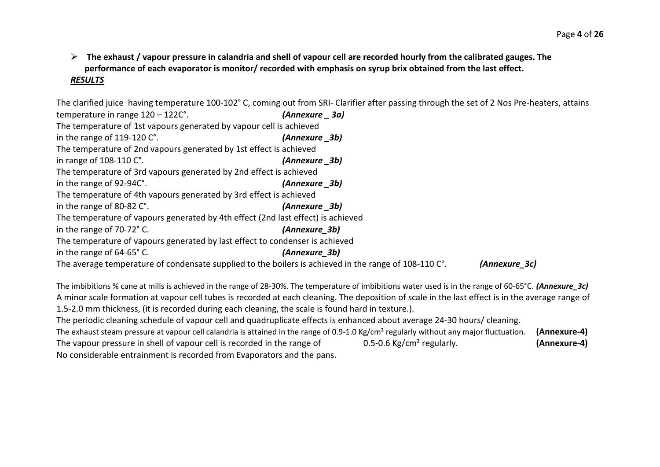**The exhaust / vapour pressure in calandria and shell of vapour cell are recorded hourly from the calibrated gauges. The performance of each evaporator is monitor/ recorded with emphasis on syrup brix obtained from the last effect.** *RESULTS*

The clarified juice having temperature 100-102° C, coming out from SRI- Clarifier after passing through the set of 2 Nos Pre-heaters, attains temperature in range 120 – 122C°. *(Annexure \_ 3a)* The temperature of 1st vapours generated by vapour cell is achieved in the range of 119-120 C°. *(Annexure \_3b)* The temperature of 2nd vapours generated by 1st effect is achieved in range of 108-110 C°. *(Annexure \_3b)* The temperature of 3rd vapours generated by 2nd effect is achieved in the range of 92-94C°. *(Annexure \_3b)* The temperature of 4th vapours generated by 3rd effect is achieved in the range of 80-82 C°. *(Annexure \_3b)* The temperature of vapours generated by 4th effect (2nd last effect) is achieved in the range of 70-72° C. *(Annexure\_3b)* The temperature of vapours generated by last effect to condenser is achieved in the range of 64-65° C. *(Annexure\_3b)* The average temperature of condensate supplied to the boilers is achieved in the range of 108-110 C°. *(Annexure\_3c)*

The imbibitions % cane at mills is achieved in the range of 28-30%. The temperature of imbibitions water used is in the range of 60-65°C. *(Annexure\_3c)* A minor scale formation at vapour cell tubes is recorded at each cleaning. The deposition of scale in the last effect is in the average range of 1.5-2.0 mm thickness, (it is recorded during each cleaning, the scale is found hard in texture.). The periodic cleaning schedule of vapour cell and quadruplicate effects is enhanced about average 24-30 hours/ cleaning. The exhaust steam pressure at vapour cell calandria is attained in the range of 0.9-1.0 Kg/cm² regularly without any major fluctuation. **(Annexure-4)** The vapour pressure in shell of vapour cell is recorded in the range of 0.5-0.6 Kg/cm² regularly. **(Annexure-4)** No considerable entrainment is recorded from Evaporators and the pans.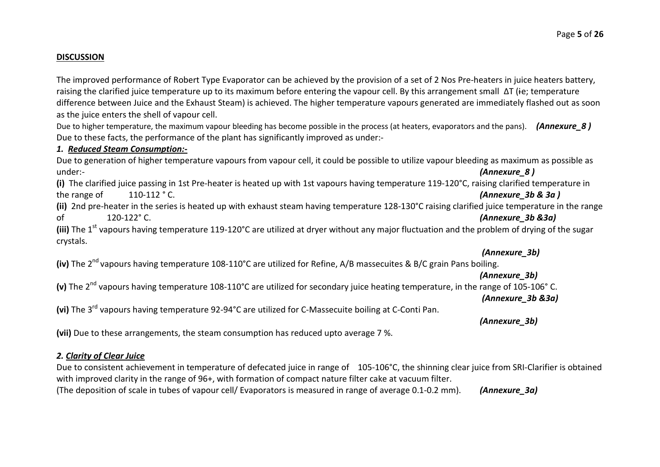#### **DISCUSSION**

The improved performance of Robert Type Evaporator can be achieved by the provision of a set of 2 Nos Pre-heaters in juice heaters battery, raising the clarified juice temperature up to its maximum before entering the vapour cell. By this arrangement small ∆T (ie; temperature difference between Juice and the Exhaust Steam) is achieved. The higher temperature vapours generated are immediately flashed out as soon as the juice enters the shell of vapour cell.

Due to higher temperature, the maximum vapour bleeding has become possible in the process (at heaters, evaporators and the pans). **(Annexure 8)** Due to these facts, the performance of the plant has significantly improved as under:-

#### *1. Reduced Steam Consumption:-*

Due to generation of higher temperature vapours from vapour cell, it could be possible to utilize vapour bleeding as maximum as possible as under:-*(Annexure 8)* 

**(i)** The clarified juice passing in 1st Pre-heater is heated up with 1st vapours having temperature 119-120°C, raising clarified temperature in the range of 110-112 ° C. *(Annexure\_3b & 3a )*

**(ii)** 2nd pre-heater in the series is heated up with exhaust steam having temperature 128-130°C raising clarified juice temperature in the range of 120-122° C. *(Annexure\_3b &3a)* 

**(iii)** The 1<sup>st</sup> vapours having temperature 119-120°C are utilized at dryer without any major fluctuation and the problem of drying of the sugar crystals.

## *(Annexure\_3b)*

**(iv)** The 2<sup>nd</sup> vapours having temperature 108-110°C are utilized for Refine, A/B massecuites & B/C grain Pans boiling.

#### *(Annexure\_3b)*

**(v)** The 2nd vapours having temperature 108-110°C are utilized for secondary juice heating temperature, in the range of 105-106° C.

*(Annexure\_3b &3a)*

**(vi)** The 3rd vapours having temperature 92-94°C are utilized for C-Massecuite boiling at C-Conti Pan.

*(Annexure\_3b)*

**(vii)** Due to these arrangements, the steam consumption has reduced upto average 7 %.

#### *2. Clarity of Clear Juice*

Due to consistent achievement in temperature of defecated juice in range of 105-106°C, the shinning clear juice from SRI-Clarifier is obtained with improved clarity in the range of 96+, with formation of compact nature filter cake at vacuum filter. (The deposition of scale in tubes of vapour cell/ Evaporators is measured in range of average 0.1-0.2 mm). *(Annexure\_3a)*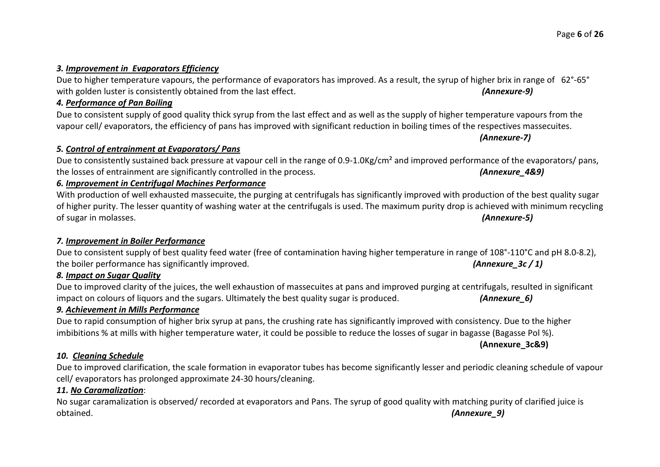#### *3. Improvement in Evaporators Efficiency*

# Due to higher temperature vapours, the performance of evaporators has improved. As a result, the syrup of higher brix in range of 62°-65° with golden luster is consistently obtained from the last effect. *(Annexure-9) (Annexure-9)*

#### *4. Performance of Pan Boiling*

Due to consistent supply of good quality thick syrup from the last effect and as well as the supply of higher temperature vapours from the vapour cell/ evaporators, the efficiency of pans has improved with significant reduction in boiling times of the respectives massecuites.

*5. Control of entrainment at Evaporators/ Pans*

Due to consistently sustained back pressure at vapour cell in the range of 0.9-1.0Kg/cm<sup>2</sup> and improved performance of the evaporators/ pans, the losses of entrainment are significantly controlled in the process. *(Annexure\_4&9)*

# *6. Improvement in Centrifugal Machines Performance*

With production of well exhausted massecuite, the purging at centrifugals has significantly improved with production of the best quality sugar of higher purity. The lesser quantity of washing water at the centrifugals is used. The maximum purity drop is achieved with minimum recycling of sugar in molasses. *(Annexure-5)* 

## *7. Improvement in Boiler Performance*

# Due to consistent supply of best quality feed water (free of contamination having higher temperature in range of 108°-110°C and pH 8.0-8.2), the boiler performance has significantly improved. *(Annexure 3c / 1) (Annexure 3c / 1)*

# *8. Impact on Sugar Quality*

Due to improved clarity of the juices, the well exhaustion of massecuites at pans and improved purging at centrifugals, resulted in significant impact on colours of liquors and the sugars. Ultimately the best quality sugar is produced. *(Annexure\_6)*

## *9. Achievement in Mills Performance*

Due to rapid consumption of higher brix syrup at pans, the crushing rate has significantly improved with consistency. Due to the higher imbibitions % at mills with higher temperature water, it could be possible to reduce the losses of sugar in bagasse (Bagasse Pol %).

**(Annexure\_3c&9)**

## *10. Cleaning Schedule*

# Due to improved clarification, the scale formation in evaporator tubes has become significantly lesser and periodic cleaning schedule of vapour cell/ evaporators has prolonged approximate 24-30 hours/cleaning.

# *11. No Caramalization*:

No sugar caramalization is observed/ recorded at evaporators and Pans. The syrup of good quality with matching purity of clarified juice is obtained. *(Annexure\_9)*

*(Annexure-7)*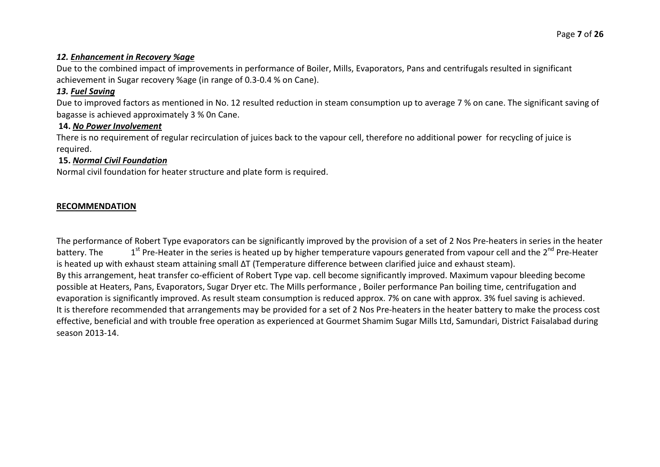#### *12. Enhancement in Recovery %age*

Due to the combined impact of improvements in performance of Boiler, Mills, Evaporators, Pans and centrifugals resulted in significant achievement in Sugar recovery %age (in range of 0.3-0.4 % on Cane).

## *13. Fuel Saving*

Due to improved factors as mentioned in No. 12 resulted reduction in steam consumption up to average 7 % on cane. The significant saving of bagasse is achieved approximately 3 % 0n Cane.

#### **14.** *No Power Involvement*

There is no requirement of regular recirculation of juices back to the vapour cell, therefore no additional power for recycling of juice is required.

### **15.** *Normal Civil Foundation*

Normal civil foundation for heater structure and plate form is required.

#### **RECOMMENDATION**

The performance of Robert Type evaporators can be significantly improved by the provision of a set of 2 Nos Pre-heaters in series in the heater battery. The 1st Pre-Heater in the series is heated up by higher temperature vapours generated from vapour cell and the 2<sup>nd</sup> Pre-Heater is heated up with exhaust steam attaining small ΔT (Temperature difference between clarified juice and exhaust steam). By this arrangement, heat transfer co-efficient of Robert Type vap. cell become significantly improved. Maximum vapour bleeding become possible at Heaters, Pans, Evaporators, Sugar Dryer etc. The Mills performance , Boiler performance Pan boiling time, centrifugation and evaporation is significantly improved. As result steam consumption is reduced approx. 7% on cane with approx. 3% fuel saving is achieved. It is therefore recommended that arrangements may be provided for a set of 2 Nos Pre-heaters in the heater battery to make the process cost effective, beneficial and with trouble free operation as experienced at Gourmet Shamim Sugar Mills Ltd, Samundari, District Faisalabad during season 2013-14.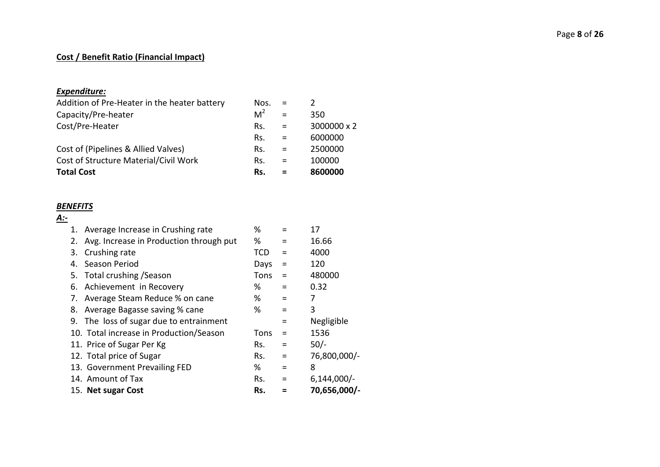#### Page **8** of **26**

# **Cost / Benefit Ratio (Financial Impact)**

# *Expenditure:*

| <b>Total Cost</b>                            | Rs.            |          | 8600000     |
|----------------------------------------------|----------------|----------|-------------|
| Cost of Structure Material/Civil Work        | Rs.            | $\equiv$ | 100000      |
| Cost of (Pipelines & Allied Valves)          | Rs.            | $=$      | 2500000     |
|                                              | Rs.            | $\equiv$ | 6000000     |
| Cost/Pre-Heater                              | Rs.            | $=$      | 3000000 x 2 |
| Capacity/Pre-heater                          | M <sup>2</sup> |          | 350         |
| Addition of Pre-Heater in the heater battery | Nos.           |          |             |

# *BENEFITS*

| А:- |    |                                         |      |          |               |
|-----|----|-----------------------------------------|------|----------|---------------|
|     | 1. | Average Increase in Crushing rate       | %    | $\equiv$ | 17            |
|     | 2. | Avg. Increase in Production through put | %    | $\equiv$ | 16.66         |
|     | 3. | Crushing rate                           | TCD  | $\equiv$ | 4000          |
|     | 4. | Season Period                           | Days | $=$      | 120           |
|     |    | 5. Total crushing / Season              | Tons | $\equiv$ | 480000        |
|     | 6. | Achievement in Recovery                 | %    | $\equiv$ | 0.32          |
|     | 7. | Average Steam Reduce % on cane          | %    | $\equiv$ | 7             |
|     | 8. | Average Bagasse saving % cane           | %    | $=$      | 3             |
|     |    | 9. The loss of sugar due to entrainment |      | $=$      | Negligible    |
|     |    | 10. Total increase in Production/Season | Tons | $=$      | 1536          |
|     |    | 11. Price of Sugar Per Kg               | Rs.  | Ξ        | $50/-$        |
|     |    | 12. Total price of Sugar                | Rs.  | $=$      | 76,800,000/-  |
|     |    | 13. Government Prevailing FED           | %    | $=$      | 8             |
|     |    | 14. Amount of Tax                       | Rs.  | $\equiv$ | $6,144,000/-$ |
|     |    | 15. Net sugar Cost                      | Rs.  |          | 70,656,000/-  |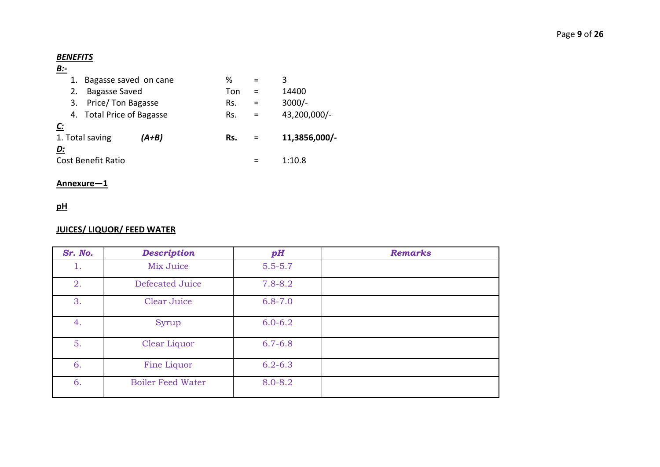## *BENEFITS*

# *B:-*

| 1.                        | Bagasse saved on cane     |       | %   |          | 3             |
|---------------------------|---------------------------|-------|-----|----------|---------------|
| 2.                        | <b>Bagasse Saved</b>      |       | Ton |          | 14400         |
| 3.                        | Price/ Ton Bagasse        |       | Rs. | $\equiv$ | $3000/-$      |
|                           | 4. Total Price of Bagasse |       | Rs. | =        | 43,200,000/-  |
| $\mathcal{C}$ :           |                           |       |     |          |               |
| 1. Total saving           |                           | (A+B) | Rs. |          | 11,3856,000/- |
| D:                        |                           |       |     |          |               |
| <b>Cost Benefit Ratio</b> |                           |       |     |          | 1:10.8        |
|                           |                           |       |     |          |               |

# **Annexure—1**

# **pH**

# **JUICES/ LIQUOR/ FEED WATER**

| Sr. No. | <b>Description</b>       | pH          | <b>Remarks</b> |
|---------|--------------------------|-------------|----------------|
| ı.      | Mix Juice                | $5.5 - 5.7$ |                |
| 2.      | Defecated Juice          | $7.8 - 8.2$ |                |
| 3.      | <b>Clear Juice</b>       | $6.8 - 7.0$ |                |
| 4.      | Syrup                    | $6.0 - 6.2$ |                |
| 5.      | Clear Liquor             | $6.7 - 6.8$ |                |
| 6.      | Fine Liquor              | $6.2 - 6.3$ |                |
| 6.      | <b>Boiler Feed Water</b> | 8.0-8.2     |                |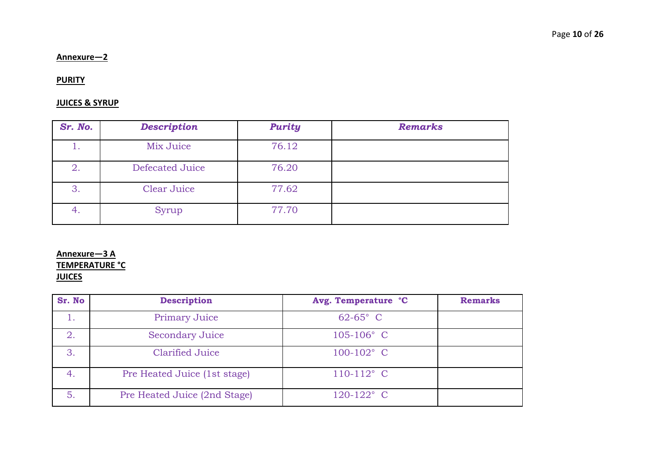#### **Annexure—2**

#### **PURITY**

#### **JUICES & SYRUP**

| Sr. No. | <b>Description</b> | <b>Purity</b> | <b>Remarks</b> |
|---------|--------------------|---------------|----------------|
| 1.      | Mix Juice          | 76.12         |                |
| 2.      | Defecated Juice    | 76.20         |                |
| 3.      | Clear Juice        | 77.62         |                |
| 4.      | Syrup              | 77.70         |                |

# **Annexure—3 A TEMPERATURE °C JUICES**

| Sr. No | <b>Description</b>           | Avg. Temperature °C | <b>Remarks</b> |
|--------|------------------------------|---------------------|----------------|
|        | <b>Primary Juice</b>         | $62 - 65$ ° C       |                |
| 2.     | <b>Secondary Juice</b>       | $105 - 106$ ° C     |                |
| 3.     | <b>Clarified Juice</b>       | $100 - 102$ ° C     |                |
| 4.     | Pre Heated Juice (1st stage) | $110-112$ ° C       |                |
| 5.     | Pre Heated Juice (2nd Stage) | $120-122$ ° C       |                |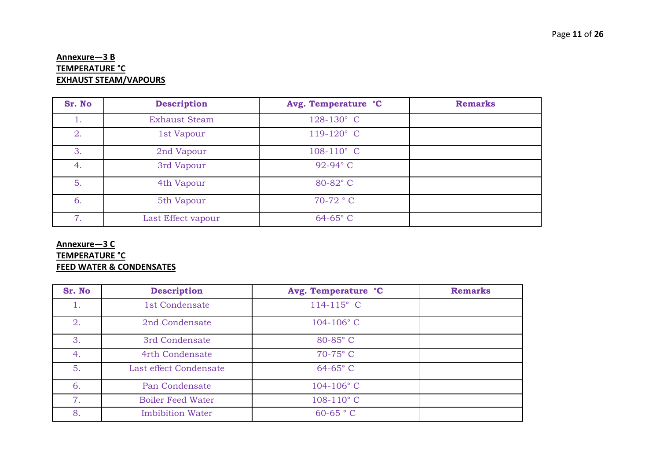# **Annexure—3 B TEMPERATURE °C EXHAUST STEAM/VAPOURS**

| Sr. No | <b>Description</b>   | Avg. Temperature °C | <b>Remarks</b> |
|--------|----------------------|---------------------|----------------|
| 1.     | <b>Exhaust Steam</b> | 128-130° C          |                |
| 2.     | 1st Vapour           | 119-120° C          |                |
| 3.     | 2nd Vapour           | $108-110^{\circ}$ C |                |
| 4.     | 3rd Vapour           | 92-94° C            |                |
| 5.     | 4th Vapour           | 80-82°C             |                |
| 6.     | 5th Vapour           | $70-72$ ° C         |                |
| 7.     | Last Effect vapour   | $64-65$ °C          |                |

# **Annexure—3 C TEMPERATURE °C FEED WATER & CONDENSATES**

| Sr. No | <b>Description</b>       | Avg. Temperature °C | <b>Remarks</b> |
|--------|--------------------------|---------------------|----------------|
| 1.     | 1st Condensate           | $114 - 115$ ° C     |                |
| 2.     | 2nd Condensate           | $104 - 106$ ° C     |                |
| 3.     | 3rd Condensate           | 80-85°C             |                |
| 4.     | 4rth Condensate          | 70-75°C             |                |
| 5.     | Last effect Condensate   | $64-65$ °C          |                |
| 6.     | Pan Condensate           | $104 - 106$ ° C     |                |
| 7.     | <b>Boiler Feed Water</b> | $108-110$ °C        |                |
| 8.     | <b>Imbibition Water</b>  | $60-65$ ° C         |                |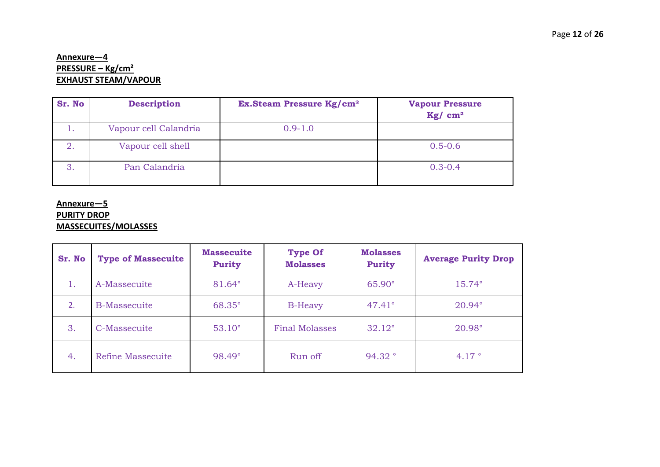# **Annexure—4 PRESSURE – Kg/cm² EXHAUST STEAM/VAPOUR**

| Sr. No | <b>Description</b>    | <b>Ex.Steam Pressure Kg/cm<sup>2</sup></b> | <b>Vapour Pressure</b><br>Kg/cm <sup>2</sup> |
|--------|-----------------------|--------------------------------------------|----------------------------------------------|
| ı.     | Vapour cell Calandria | $0.9 - 1.0$                                |                                              |
| 2.     | Vapour cell shell     |                                            | $0.5 - 0.6$                                  |
| 3.     | Pan Calandria         |                                            | $0.3 - 0.4$                                  |

#### **Annexure—5**

# **PURITY DROP**

# **MASSECUITES/MOLASSES**

| Sr. No | <b>Type of Massecuite</b> | <b>Massecuite</b><br><b>Purity</b> | <b>Type Of</b><br><b>Molasses</b> | <b>Molasses</b><br><b>Purity</b> | <b>Average Purity Drop</b> |
|--------|---------------------------|------------------------------------|-----------------------------------|----------------------------------|----------------------------|
| 1.     | A-Massecuite              | 81.64°                             | A-Heavy                           | $65.90^\circ$                    | $15.74^{\circ}$            |
| 2.     | <b>B-Massecuite</b>       | 68.35°                             | <b>B-Heavy</b>                    | $47.41^{\circ}$                  | $20.94^{\circ}$            |
| 3.     | C-Massecuite              | $53.10^\circ$                      | <b>Final Molasses</b>             | $32.12^{\circ}$                  | 20.98°                     |
| 4.     | Refine Massecuite         | 98.49°                             | Run off                           | 94.32°                           | 4.17 $^{\circ}$            |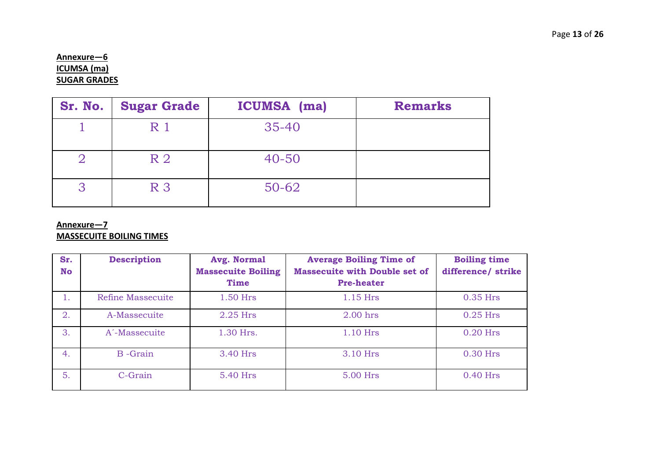# **Annexure—6 ICUMSA (ma) SUGAR GRADES**

| Sr. No. | <b>Sugar Grade</b> | <b>ICUMSA</b> (ma) | <b>Remarks</b> |
|---------|--------------------|--------------------|----------------|
|         | R <sub>1</sub>     | $35 - 40$          |                |
|         | R <sub>2</sub>     | $40 - 50$          |                |
| ્ર      | R <sub>3</sub>     | $50 - 62$          |                |

# **Annexure—7**

## **MASSECUITE BOILING TIMES**

| Sr.<br>No | <b>Description</b>        | Avg. Normal<br><b>Massecuite Boiling</b><br><b>Time</b> | <b>Average Boiling Time of</b><br><b>Massecuite with Double set of</b><br><b>Pre-heater</b> | <b>Boiling time</b><br>difference/ strike |
|-----------|---------------------------|---------------------------------------------------------|---------------------------------------------------------------------------------------------|-------------------------------------------|
| 1.        | Refine Massecuite         | $1.50$ Hrs                                              | 1.15 Hrs                                                                                    | $0.35$ Hrs                                |
| 2.        | A-Massecuite              | $2.25$ Hrs                                              | $2.00$ hrs                                                                                  | $0.25$ Hrs                                |
| 3.        | A <sup>-</sup> Massecuite | 1.30 Hrs.                                               | 1.10 Hrs                                                                                    | $0.20$ Hrs                                |
| 4.        | <b>B</b> -Grain           | 3.40 Hrs                                                | 3.10 Hrs                                                                                    | $0.30$ Hrs                                |
| 5.        | C-Grain                   | 5.40 Hrs                                                | 5.00 Hrs                                                                                    | $0.40$ Hrs                                |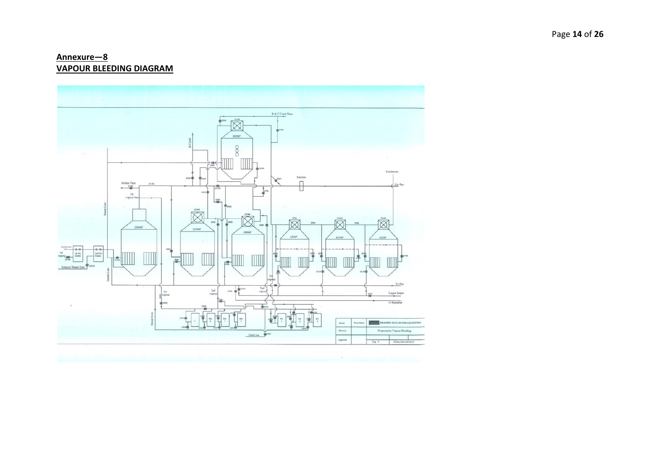## Annexure-8 **VAPOUR BLEEDING DIAGRAM**

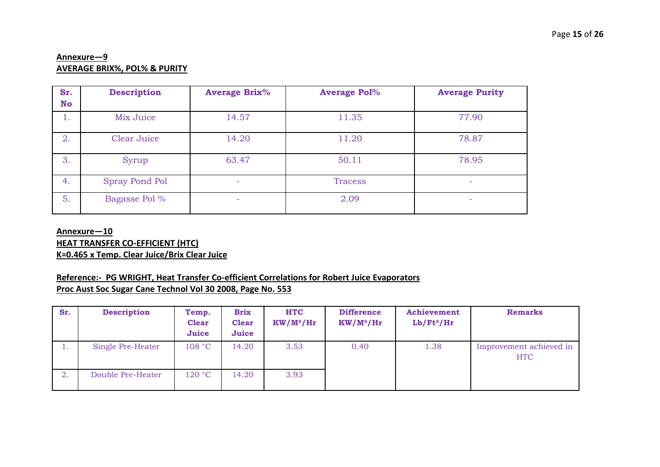# **Annexure—9 AVERAGE BRIX%, POL% & PURITY**

| Sr.<br>No | <b>Description</b>    | <b>Average Brix%</b>     | <b>Average Pol%</b> | <b>Average Purity</b> |
|-----------|-----------------------|--------------------------|---------------------|-----------------------|
| 1.        | Mix Juice             | 14.57                    | 11.35               | 77.90                 |
| 2.        | Clear Juice           | 14.20                    | 11.20               | 78.87                 |
| 3.        | Syrup                 | 63.47                    | 50.11               | 78.95                 |
| 4.        | <b>Spray Pond Pol</b> | $\overline{\phantom{0}}$ | <b>Tracess</b>      | -                     |
| 5.        | Bagasse Pol %         | $\overline{\phantom{0}}$ | 2.09                | -                     |

#### **Annexure—10**

**HEAT TRANSFER CO-EFFICIENT (HTC)**

**K=0.465 x Temp. Clear Juice/Brix Clear Juice**

# **Reference:- PG WRIGHT, Heat Transfer Co-efficient Correlations for Robert Juice Evaporators**

**Proc Aust Soc Sugar Cane Technol Vol 30 2008, Page No. 553**

| Sr. | <b>Description</b> | Temp.<br><b>Clear</b><br>Juice | <b>Brix</b><br><b>Clear</b><br>Juice | <b>HTC</b><br>$KW/M^2/Hr$ | <b>Difference</b><br>$KW/M^2/Hr$ | Achievement<br>$Lb/Ft^2/Hr$ | <b>Remarks</b>                        |
|-----|--------------------|--------------------------------|--------------------------------------|---------------------------|----------------------------------|-----------------------------|---------------------------------------|
|     | Single Pre-Heater  | 108 °C                         | 14.20                                | 3.53                      | 0.40                             | 1.38                        | Improvement achieved in<br><b>HTC</b> |
| 2.  | Double Pre-Heater  | 120 °C                         | 14.20                                | 3.93                      |                                  |                             |                                       |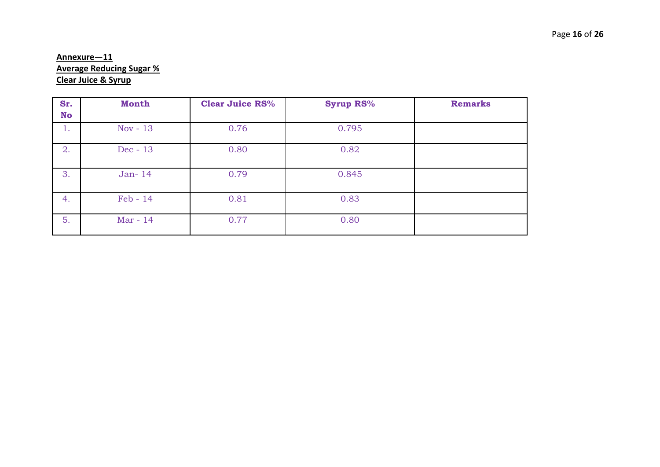# **Annexure—11 Average Reducing Sugar % Clear Juice & Syrup**

| Sr.<br><b>No</b> | <b>Month</b> | <b>Clear Juice RS%</b> | <b>Syrup RS%</b> | <b>Remarks</b> |
|------------------|--------------|------------------------|------------------|----------------|
| 1.               | Nov - $13$   | 0.76                   | 0.795            |                |
| 2.               | Dec - 13     | 0.80                   | 0.82             |                |
| 3.               | Jan-14       | 0.79                   | 0.845            |                |
| 4.               | $Feb - 14$   | 0.81                   | 0.83             |                |
| 5.               | Mar - 14     | 0.77                   | 0.80             |                |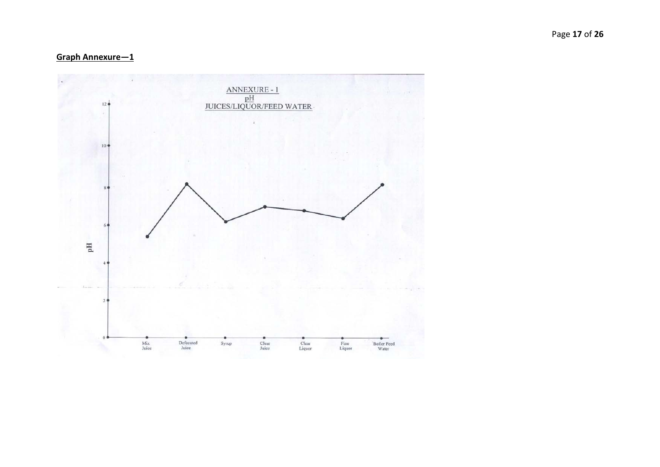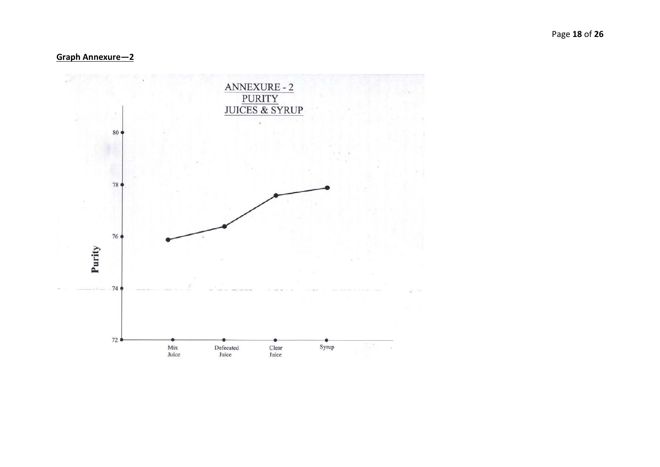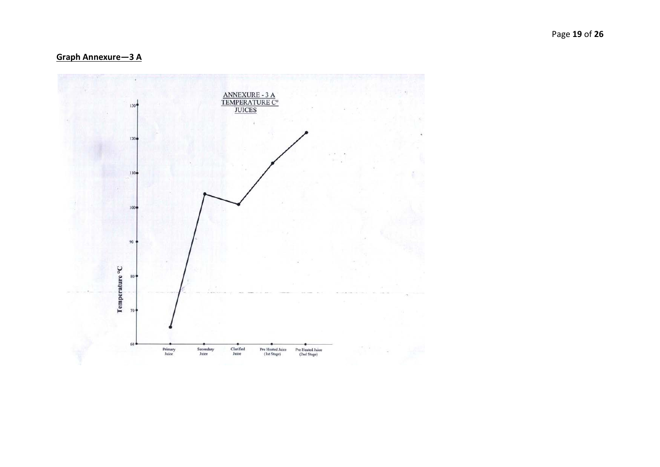Graph Annexure-3 A

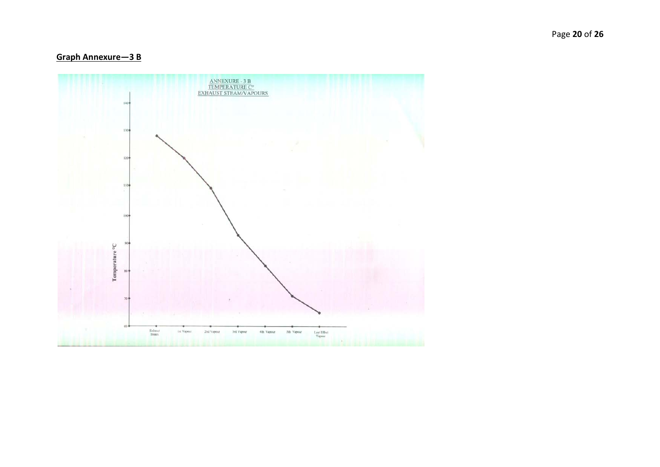# Graph Annexure-3 B

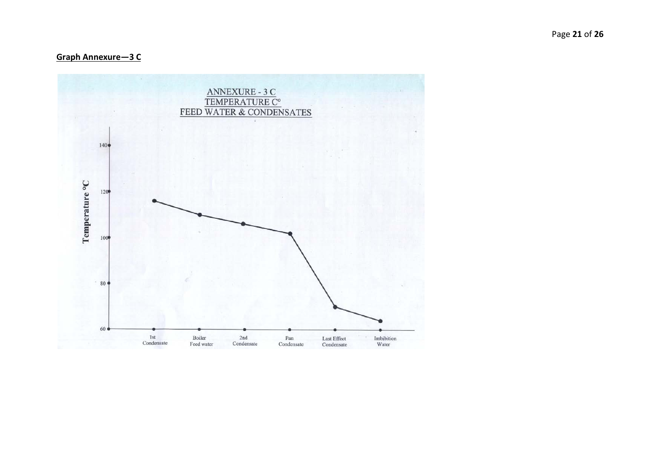**Graph Annexure-3 C** 

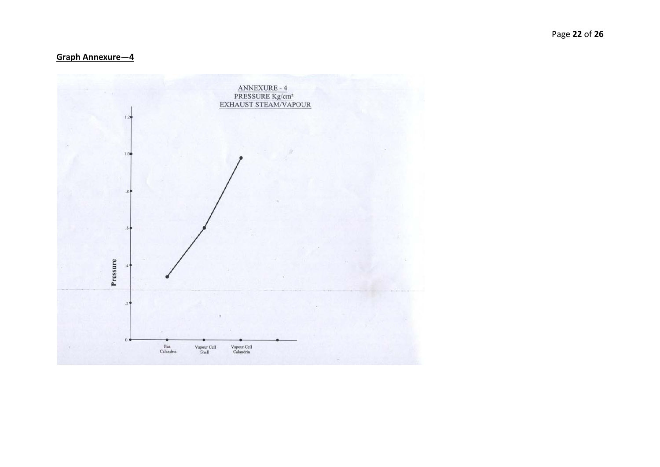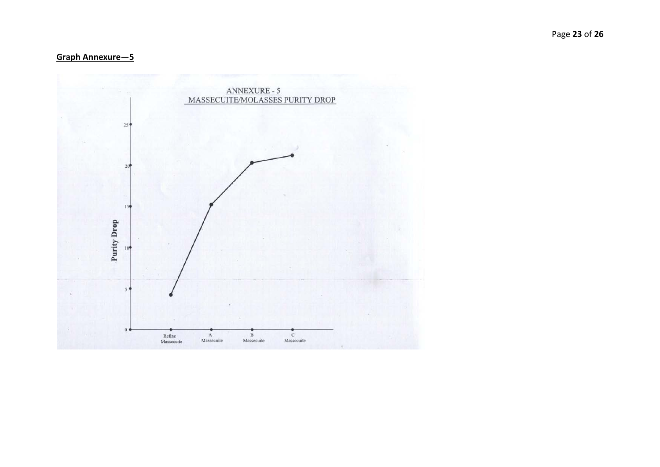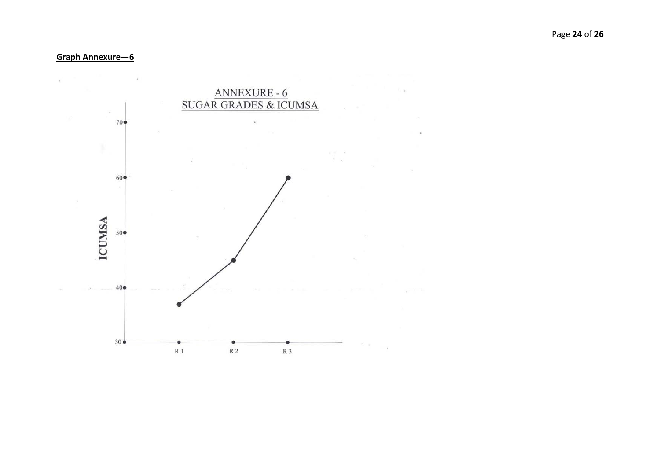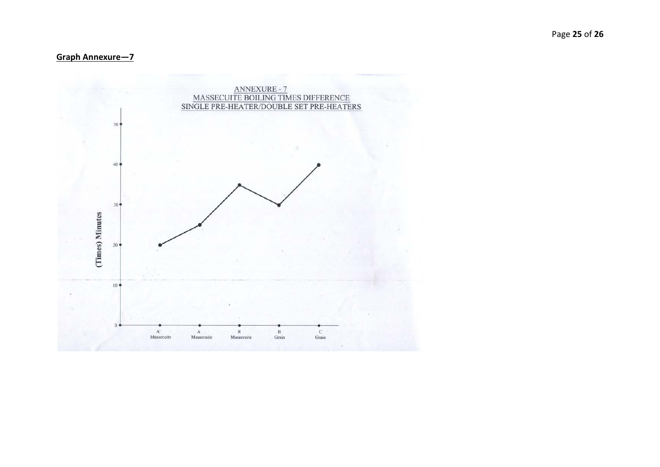